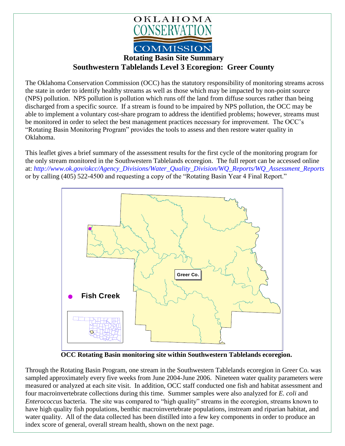

## **Rotating Basin Site Summary Southwestern Tablelands Level 3 Ecoregion: Greer County**

The Oklahoma Conservation Commission (OCC) has the statutory responsibility of monitoring streams across the state in order to identify healthy streams as well as those which may be impacted by non-point source (NPS) pollution. NPS pollution is pollution which runs off the land from diffuse sources rather than being discharged from a specific source. If a stream is found to be impaired by NPS pollution, the OCC may be able to implement a voluntary cost-share program to address the identified problems; however, streams must be monitored in order to select the best management practices necessary for improvement. The OCC's "Rotating Basin Monitoring Program" provides the tools to assess and then restore water quality in Oklahoma.

This leaflet gives a brief summary of the assessment results for the first cycle of the monitoring program for the only stream monitored in the Southwestern Tablelands ecoregion. The full report can be accessed online at: *[http://www.ok.gov/okcc/Agency\\_Divisions/Water\\_Quality\\_Division/WQ\\_Reports/WQ\\_Assessment\\_Reports](http://www.ok.gov/okcc/Agency_Divisions/Water_Quality_Division/WQ_Reports/WQ_Assessment_Reports)* or by calling (405) 522-4500 and requesting a copy of the "Rotating Basin Year 4 Final Report."



**OCC Rotating Basin monitoring site within Southwestern Tablelands ecoregion.**

Through the Rotating Basin Program, one stream in the Southwestern Tablelands ecoregion in Greer Co. was sampled approximately every five weeks from June 2004-June 2006. Nineteen water quality parameters were measured or analyzed at each site visit. In addition, OCC staff conducted one fish and habitat assessment and four macroinvertebrate collections during this time. Summer samples were also analyzed for *E. coli* and *Enterococcus* bacteria. The site was compared to "high quality" streams in the ecoregion, streams known to have high quality fish populations, benthic macroinvertebrate populations, instream and riparian habitat, and water quality. All of the data collected has been distilled into a few key components in order to produce an index score of general, overall stream health, shown on the next page.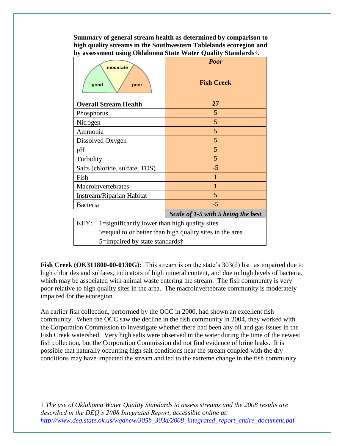**Summary of general stream health as determined by comparison to high quality streams in the Southwestern Tablelands ecoregion and by assessment using Oklahoma State Water Quality Standards†.**

|                                                          | <b>Poor</b>                        |
|----------------------------------------------------------|------------------------------------|
| moderate<br>good<br>poor                                 | <b>Fish Creek</b>                  |
| <b>Overall Stream Health</b>                             | 27                                 |
| Phosphorus                                               | 5                                  |
| Nitrogen                                                 | 5                                  |
| Ammonia                                                  | 5                                  |
| Dissolved Oxygen                                         | 5                                  |
| pH                                                       | 5                                  |
| Turbidity                                                | 5                                  |
| Salts (chloride, sulfate, TDS)                           | $-5$                               |
| Fish                                                     | 1                                  |
| Macroinvertebrates                                       | $\mathbf{1}$                       |
| Instream/Riparian Habitat                                | 5                                  |
| <b>Bacteria</b>                                          | $-5$                               |
|                                                          | Scale of 1-5 with 5 being the best |
| 1=significantly lower than high quality sites<br>KEY:    |                                    |
| 5=equal to or better than high quality sites in the area |                                    |
| -5=impaired by state standards†                          |                                    |

Fish Creek (OK311800-00-0130G): This stream is on the state's 303(d) list<sup>†</sup> as impaired due to high chlorides and sulfates, indicators of high mineral content, and due to high levels of bacteria, which may be associated with animal waste entering the stream. The fish community is very poor relative to high quality sites in the area. The macroinvertebrate community is moderately impaired for the ecoregion.

An earlier fish collection, performed by the OCC in 2000, had shown an excellent fish community. When the OCC saw the decline in the fish community in 2004, they worked with the Corporation Commission to investigate whether there had been any oil and gas issues in the Fish Creek watershed. Very high salts were observed in the water during the time of the newest fish collection, but the Corporation Commission did not find evidence of brine leaks. It is possible that naturally occurring high salt conditions near the stream coupled with the dry conditions may have impacted the stream and led to the extreme change in the fish community.

† *The use of Oklahoma Water Quality Standards to assess streams and the 2008 results are described in the DEQ's 2008 Integrated Report, accessible online at: http://www.deq.state.ok.us/wqdnew/305b\_303d/2008\_integrated\_report\_entire\_document.pdf*